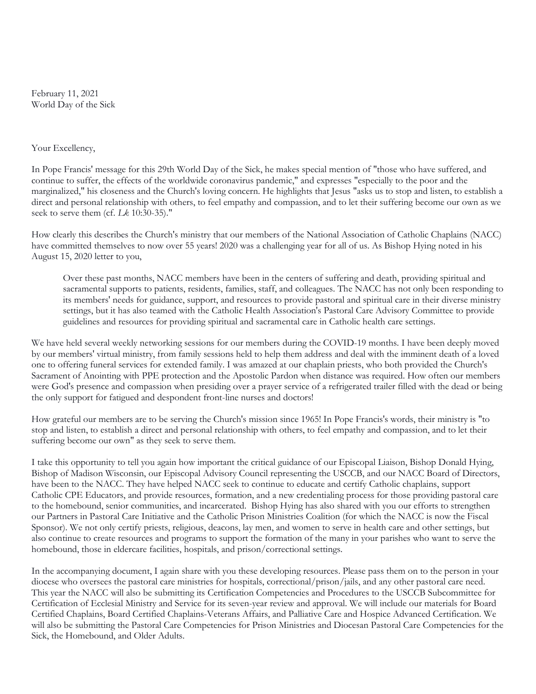February 11, 2021 World Day of the Sick

## Your Excellency,

In Pope Francis' message for this 29th World Day of the Sick, he makes special mention of "those who have suffered, and continue to suffer, the effects of the worldwide coronavirus pandemic," and expresses "especially to the poor and the marginalized," his closeness and the Church's loving concern. He highlights that Jesus "asks us to stop and listen, to establish a direct and personal relationship with others, to feel empathy and compassion, and to let their suffering become our own as we seek to serve them (cf. Lk 10:30-35)."

How clearly this describes the Church's ministry that our members of the National Association of Catholic Chaplains (NACC) have committed themselves to now over 55 years! 2020 was a challenging year for all of us. As Bishop Hying noted in his August 15, 2020 letter to you,

Over these past months, NACC members have been in the centers of suffering and death, providing spiritual and sacramental supports to patients, residents, families, staff, and colleagues. The NACC has not only been responding to its members' needs for guidance, support, and resources to provide pastoral and spiritual care in their diverse ministry settings, but it has also teamed with the Catholic Health Association's Pastoral Care Advisory Committee to provide guidelines and resources for providing spiritual and sacramental care in Catholic health care settings.

We have held several weekly networking sessions for our members during the COVID-19 months. I have been deeply moved by our members' virtual ministry, from family sessions held to help them address and deal with the imminent death of a loved one to offering funeral services for extended family. I was amazed at our chaplain priests, who both provided the Church's Sacrament of Anointing with PPE protection and the Apostolic Pardon when distance was required. How often our members were God's presence and compassion when presiding over a prayer service of a refrigerated trailer filled with the dead or being the only support for fatigued and despondent front-line nurses and doctors!

How grateful our members are to be serving the Church's mission since 1965! In Pope Francis's words, their ministry is "to stop and listen, to establish a direct and personal relationship with others, to feel empathy and compassion, and to let their suffering become our own" as they seek to serve them.

I take this opportunity to tell you again how important the critical guidance of our Episcopal Liaison, Bishop Donald Hying, Bishop of Madison Wisconsin, our Episcopal Advisory Council representing the USCCB, and our NACC Board of Directors, have been to the NACC. They have helped NACC seek to continue to educate and certify Catholic chaplains, support Catholic CPE Educators, and provide resources, formation, and a new credentialing process for those providing pastoral care to the homebound, senior communities, and incarcerated. Bishop Hying has also shared with you our efforts to strengthen our Partners in Pastoral Care Initiative and the Catholic Prison Ministries Coalition (for which the NACC is now the Fiscal Sponsor). We not only certify priests, religious, deacons, lay men, and women to serve in health care and other settings, but also continue to create resources and programs to support the formation of the many in your parishes who want to serve the homebound, those in eldercare facilities, hospitals, and prison/correctional settings.

In the accompanying document, I again share with you these developing resources. Please pass them on to the person in your diocese who oversees the pastoral care ministries for hospitals, correctional/prison/jails, and any other pastoral care need. This year the NACC will also be submitting its Certification Competencies and Procedures to the USCCB Subcommittee for Certification of Ecclesial Ministry and Service for its seven-year review and approval. We will include our materials for Board Certified Chaplains, Board Certified Chaplains-Veterans Affairs, and Palliative Care and Hospice Advanced Certification. We will also be submitting the Pastoral Care Competencies for Prison Ministries and Diocesan Pastoral Care Competencies for the Sick, the Homebound, and Older Adults.